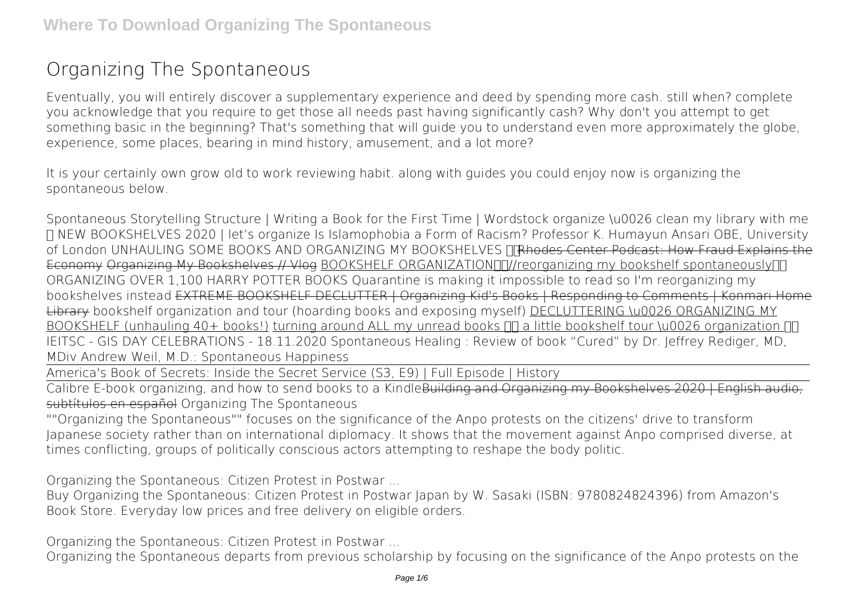# **Organizing The Spontaneous**

Eventually, you will entirely discover a supplementary experience and deed by spending more cash. still when? complete you acknowledge that you require to get those all needs past having significantly cash? Why don't you attempt to get something basic in the beginning? That's something that will guide you to understand even more approximately the globe, experience, some places, bearing in mind history, amusement, and a lot more?

It is your certainly own grow old to work reviewing habit. along with guides you could enjoy now is **organizing the spontaneous** below.

*Spontaneous Storytelling Structure | Writing a Book for the First Time | Wordstock organize \u0026 clean my library with me ✨* **NEW BOOKSHELVES 2020 | let's organize** *Is Islamophobia a Form of Racism? Professor K. Humayun Ansari OBE, University of London* **UNHAULING SOME BOOKS AND ORGANIZING MY BOOKSHELVES** Rhodes Center Podcast: How Fraud Explains the Economy Organizing My Bookshelves // Vlog BOOKSHELF ORGANIZATIONNIN/reorganizing my bookshelf spontaneouslyNN **ORGANIZING OVER 1,100 HARRY POTTER BOOKS** Quarantine is making it impossible to read so I'm reorganizing my bookshelves instead EXTREME BOOKSHELF DECLUTTER | Organizing Kid's Books | Responding to Comments | Konmari Home Library **bookshelf organization and tour (hoarding books and exposing myself)** DECLUTTERING \u0026 ORGANIZING MY BOOKSHELF (unhauling  $40+$  books!) turning around ALL my unread books  $\Pi$  a little bookshelf tour \u0026 organization  $\Pi$ IEITSC - GIS DAY CELEBRATIONS - 18.11.2020 **Spontaneous Healing : Review of book "Cured" by Dr. Jeffrey Rediger, MD, MDiv Andrew Weil, M.D.: Spontaneous Happiness**

America's Book of Secrets: Inside the Secret Service (S3, E9) | Full Episode | History

Calibre E-book organizing, and how to send books to a KindleBuilding and Organizing my Bookshelves 2020 | English subtítulos en español Organizing The Spontaneous

""Organizing the Spontaneous"" focuses on the significance of the Anpo protests on the citizens' drive to transform Japanese society rather than on international diplomacy. It shows that the movement against Anpo comprised diverse, at times conflicting, groups of politically conscious actors attempting to reshape the body politic.

Organizing the Spontaneous: Citizen Protest in Postwar ...

Buy Organizing the Spontaneous: Citizen Protest in Postwar Japan by W. Sasaki (ISBN: 9780824824396) from Amazon's Book Store. Everyday low prices and free delivery on eligible orders.

Organizing the Spontaneous: Citizen Protest in Postwar ...

Organizing the Spontaneous departs from previous scholarship by focusing on the significance of the Anpo protests on the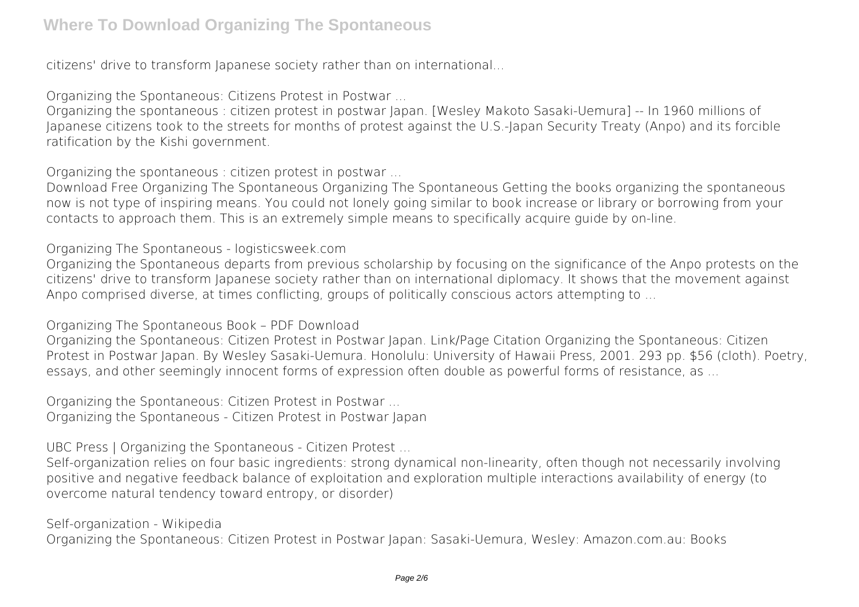citizens' drive to transform Japanese society rather than on international...

Organizing the Spontaneous: Citizens Protest in Postwar ...

Organizing the spontaneous : citizen protest in postwar Japan. [Wesley Makoto Sasaki-Uemura] -- In 1960 millions of Japanese citizens took to the streets for months of protest against the U.S.-Japan Security Treaty (Anpo) and its forcible ratification by the Kishi government.

Organizing the spontaneous : citizen protest in postwar ...

Download Free Organizing The Spontaneous Organizing The Spontaneous Getting the books organizing the spontaneous now is not type of inspiring means. You could not lonely going similar to book increase or library or borrowing from your contacts to approach them. This is an extremely simple means to specifically acquire guide by on-line.

Organizing The Spontaneous - logisticsweek.com

Organizing the Spontaneous departs from previous scholarship by focusing on the significance of the Anpo protests on the citizens' drive to transform Japanese society rather than on international diplomacy. It shows that the movement against Anpo comprised diverse, at times conflicting, groups of politically conscious actors attempting to ...

Organizing The Spontaneous Book – PDF Download

Organizing the Spontaneous: Citizen Protest in Postwar Japan. Link/Page Citation Organizing the Spontaneous: Citizen Protest in Postwar Japan. By Wesley Sasaki-Uemura. Honolulu: University of Hawaii Press, 2001. 293 pp. \$56 (cloth). Poetry, essays, and other seemingly innocent forms of expression often double as powerful forms of resistance, as ...

Organizing the Spontaneous: Citizen Protest in Postwar ... Organizing the Spontaneous - Citizen Protest in Postwar Japan

UBC Press | Organizing the Spontaneous - Citizen Protest ...

Self-organization relies on four basic ingredients: strong dynamical non-linearity, often though not necessarily involving positive and negative feedback balance of exploitation and exploration multiple interactions availability of energy (to overcome natural tendency toward entropy, or disorder)

Self-organization - Wikipedia

Organizing the Spontaneous: Citizen Protest in Postwar Japan: Sasaki-Uemura, Wesley: Amazon.com.au: Books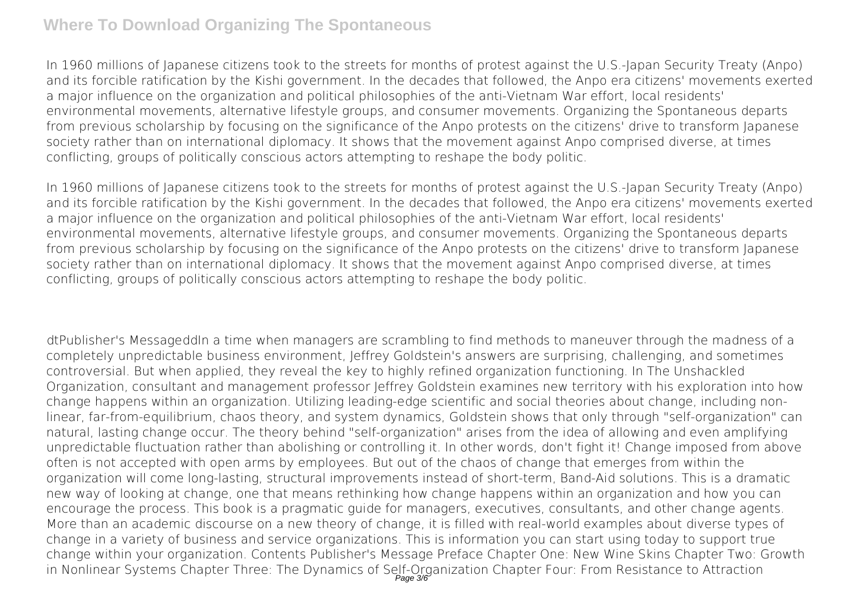In 1960 millions of Japanese citizens took to the streets for months of protest against the U.S.-Japan Security Treaty (Anpo) and its forcible ratification by the Kishi government. In the decades that followed, the Anpo era citizens' movements exerted a major influence on the organization and political philosophies of the anti-Vietnam War effort, local residents' environmental movements, alternative lifestyle groups, and consumer movements. Organizing the Spontaneous departs from previous scholarship by focusing on the significance of the Anpo protests on the citizens' drive to transform Japanese society rather than on international diplomacy. It shows that the movement against Anpo comprised diverse, at times conflicting, groups of politically conscious actors attempting to reshape the body politic.

In 1960 millions of Japanese citizens took to the streets for months of protest against the U.S.-Japan Security Treaty (Anpo) and its forcible ratification by the Kishi government. In the decades that followed, the Anpo era citizens' movements exerted a major influence on the organization and political philosophies of the anti-Vietnam War effort, local residents' environmental movements, alternative lifestyle groups, and consumer movements. Organizing the Spontaneous departs from previous scholarship by focusing on the significance of the Anpo protests on the citizens' drive to transform Japanese society rather than on international diplomacy. It shows that the movement against Anpo comprised diverse, at times conflicting, groups of politically conscious actors attempting to reshape the body politic.

dtPublisher's MessageddIn a time when managers are scrambling to find methods to maneuver through the madness of a completely unpredictable business environment, Jeffrey Goldstein's answers are surprising, challenging, and sometimes controversial. But when applied, they reveal the key to highly refined organization functioning. In The Unshackled Organization, consultant and management professor Jeffrey Goldstein examines new territory with his exploration into how change happens within an organization. Utilizing leading-edge scientific and social theories about change, including nonlinear, far-from-equilibrium, chaos theory, and system dynamics, Goldstein shows that only through "self-organization" can natural, lasting change occur. The theory behind "self-organization" arises from the idea of allowing and even amplifying unpredictable fluctuation rather than abolishing or controlling it. In other words, don't fight it! Change imposed from above often is not accepted with open arms by employees. But out of the chaos of change that emerges from within the organization will come long-lasting, structural improvements instead of short-term, Band-Aid solutions. This is a dramatic new way of looking at change, one that means rethinking how change happens within an organization and how you can encourage the process. This book is a pragmatic guide for managers, executives, consultants, and other change agents. More than an academic discourse on a new theory of change, it is filled with real-world examples about diverse types of change in a variety of business and service organizations. This is information you can start using today to support true change within your organization. Contents Publisher's Message Preface Chapter One: New Wine Skins Chapter Two: Growth in Nonlinear Systems Chapter Three: The Dynamics of Self-Organization Chapter Four: From Resistance to Attraction Page 3/6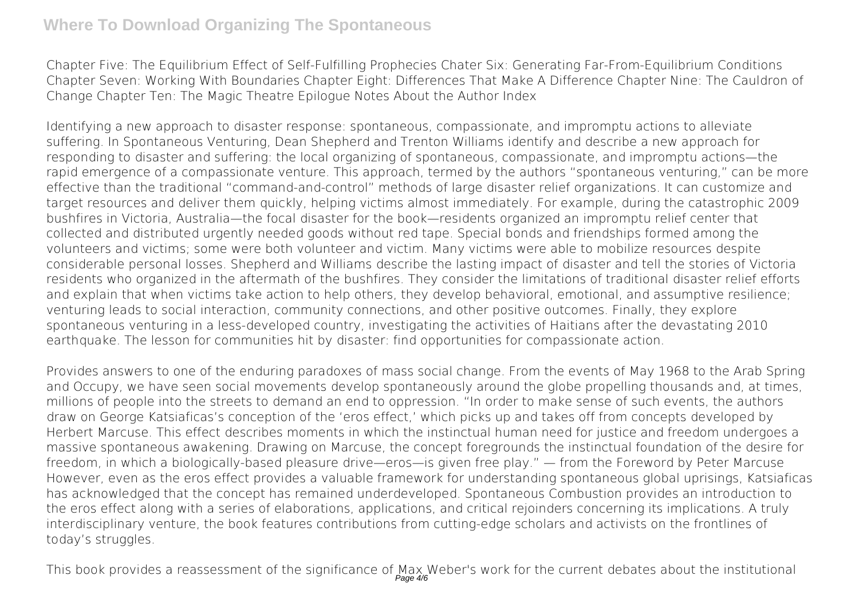Chapter Five: The Equilibrium Effect of Self-Fulfilling Prophecies Chater Six: Generating Far-From-Equilibrium Conditions Chapter Seven: Working With Boundaries Chapter Eight: Differences That Make A Difference Chapter Nine: The Cauldron of Change Chapter Ten: The Magic Theatre Epilogue Notes About the Author Index

Identifying a new approach to disaster response: spontaneous, compassionate, and impromptu actions to alleviate suffering. In Spontaneous Venturing, Dean Shepherd and Trenton Williams identify and describe a new approach for responding to disaster and suffering: the local organizing of spontaneous, compassionate, and impromptu actions—the rapid emergence of a compassionate venture. This approach, termed by the authors "spontaneous venturing," can be more effective than the traditional "command-and-control" methods of large disaster relief organizations. It can customize and target resources and deliver them quickly, helping victims almost immediately. For example, during the catastrophic 2009 bushfires in Victoria, Australia—the focal disaster for the book—residents organized an impromptu relief center that collected and distributed urgently needed goods without red tape. Special bonds and friendships formed among the volunteers and victims; some were both volunteer and victim. Many victims were able to mobilize resources despite considerable personal losses. Shepherd and Williams describe the lasting impact of disaster and tell the stories of Victoria residents who organized in the aftermath of the bushfires. They consider the limitations of traditional disaster relief efforts and explain that when victims take action to help others, they develop behavioral, emotional, and assumptive resilience; venturing leads to social interaction, community connections, and other positive outcomes. Finally, they explore spontaneous venturing in a less-developed country, investigating the activities of Haitians after the devastating 2010 earthquake. The lesson for communities hit by disaster: find opportunities for compassionate action.

Provides answers to one of the enduring paradoxes of mass social change. From the events of May 1968 to the Arab Spring and Occupy, we have seen social movements develop spontaneously around the globe propelling thousands and, at times, millions of people into the streets to demand an end to oppression. "In order to make sense of such events, the authors draw on George Katsiaficas's conception of the 'eros effect,' which picks up and takes off from concepts developed by Herbert Marcuse. This effect describes moments in which the instinctual human need for justice and freedom undergoes a massive spontaneous awakening. Drawing on Marcuse, the concept foregrounds the instinctual foundation of the desire for freedom, in which a biologically-based pleasure drive—eros—is given free play." — from the Foreword by Peter Marcuse However, even as the eros effect provides a valuable framework for understanding spontaneous global uprisings, Katsiaficas has acknowledged that the concept has remained underdeveloped. Spontaneous Combustion provides an introduction to the eros effect along with a series of elaborations, applications, and critical rejoinders concerning its implications. A truly interdisciplinary venture, the book features contributions from cutting-edge scholars and activists on the frontlines of today's struggles.

This book provides a reassessment of the significance of Max Weber's work for the current debates about the institutional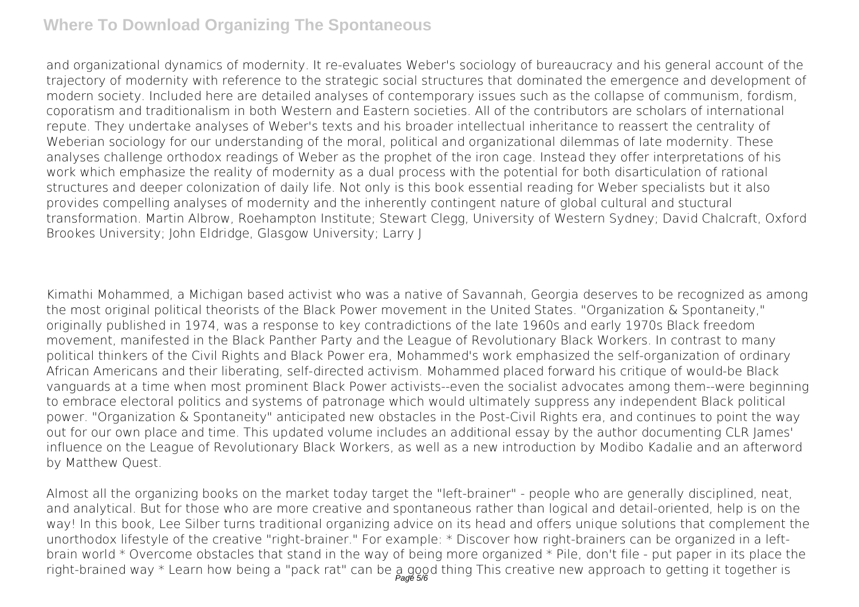and organizational dynamics of modernity. It re-evaluates Weber's sociology of bureaucracy and his general account of the trajectory of modernity with reference to the strategic social structures that dominated the emergence and development of modern society. Included here are detailed analyses of contemporary issues such as the collapse of communism, fordism, coporatism and traditionalism in both Western and Eastern societies. All of the contributors are scholars of international repute. They undertake analyses of Weber's texts and his broader intellectual inheritance to reassert the centrality of Weberian sociology for our understanding of the moral, political and organizational dilemmas of late modernity. These analyses challenge orthodox readings of Weber as the prophet of the iron cage. Instead they offer interpretations of his work which emphasize the reality of modernity as a dual process with the potential for both disarticulation of rational structures and deeper colonization of daily life. Not only is this book essential reading for Weber specialists but it also provides compelling analyses of modernity and the inherently contingent nature of global cultural and stuctural transformation. Martin Albrow, Roehampton Institute; Stewart Clegg, University of Western Sydney; David Chalcraft, Oxford Brookes University; John Eldridge, Glasgow University; Larry J

Kimathi Mohammed, a Michigan based activist who was a native of Savannah, Georgia deserves to be recognized as among the most original political theorists of the Black Power movement in the United States. "Organization & Spontaneity," originally published in 1974, was a response to key contradictions of the late 1960s and early 1970s Black freedom movement, manifested in the Black Panther Party and the League of Revolutionary Black Workers. In contrast to many political thinkers of the Civil Rights and Black Power era, Mohammed's work emphasized the self-organization of ordinary African Americans and their liberating, self-directed activism. Mohammed placed forward his critique of would-be Black vanguards at a time when most prominent Black Power activists--even the socialist advocates among them--were beginning to embrace electoral politics and systems of patronage which would ultimately suppress any independent Black political power. "Organization & Spontaneity" anticipated new obstacles in the Post-Civil Rights era, and continues to point the way out for our own place and time. This updated volume includes an additional essay by the author documenting CLR James' influence on the League of Revolutionary Black Workers, as well as a new introduction by Modibo Kadalie and an afterword by Matthew Quest.

Almost all the organizing books on the market today target the "left-brainer" - people who are generally disciplined, neat, and analytical. But for those who are more creative and spontaneous rather than logical and detail-oriented, help is on the way! In this book, Lee Silber turns traditional organizing advice on its head and offers unique solutions that complement the unorthodox lifestyle of the creative "right-brainer." For example: \* Discover how right-brainers can be organized in a leftbrain world \* Overcome obstacles that stand in the way of being more organized \* Pile, don't file - put paper in its place the right-brained way \* Learn how being a "pack rat" can be a good thing This creative new approach to getting it together is